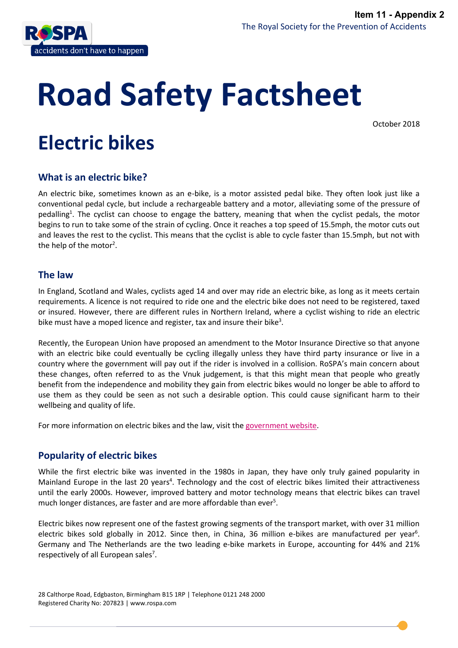

# **Road Safety Factsheet**

October 2018

# **Electric bikes**

# **What is an electric bike?**

An electric bike, sometimes known as an e-bike, is a motor assisted pedal bike. They often look just like a conventional pedal cycle, but include a rechargeable battery and a motor, alleviating some of the pressure of pedalling<sup>1</sup>. The cyclist can choose to engage the battery, meaning that when the cyclist pedals, the motor begins to run to take some of the strain of cycling. Once it reaches a top speed of 15.5mph, the motor cuts out and leaves the rest to the cyclist. This means that the cyclist is able to cycle faster than 15.5mph, but not with the help of the motor<sup>2</sup>.

# **The law**

In England, Scotland and Wales, cyclists aged 14 and over may ride an electric bike, as long as it meets certain requirements. A licence is not required to ride one and the electric bike does not need to be registered, taxed or insured. However, there are different rules in Northern Ireland, where a cyclist wishing to ride an electric bike must have a moped licence and register, tax and insure their bike<sup>3</sup>.

Recently, the European Union have proposed an amendment to the Motor Insurance Directive so that anyone with an electric bike could eventually be cycling illegally unless they have third party insurance or live in a country where the government will pay out if the rider is involved in a collision. RoSPA's main concern about these changes, often referred to as the Vnuk judgement, is that this might mean that people who greatly benefit from the independence and mobility they gain from electric bikes would no longer be able to afford to use them as they could be seen as not such a desirable option. This could cause significant harm to their wellbeing and quality of life.

For more information on electric bikes and the law, visit th[e government website.](https://www.gov.uk/electric-bike-rules)

# **Popularity of electric bikes**

While the first electric bike was invented in the 1980s in Japan, they have only truly gained popularity in Mainland Europe in the last 20 years<sup>4</sup>. Technology and the cost of electric bikes limited their attractiveness until the early 2000s. However, improved battery and motor technology means that electric bikes can travel much longer distances, are faster and are more affordable than ever<sup>5</sup>.

Electric bikes now represent one of the fastest growing segments of the transport market, with over 31 million electric bikes sold globally in 2012. Since then, in China, 36 million e-bikes are manufactured per year<sup>6</sup>. Germany and The Netherlands are the two leading e-bike markets in Europe, accounting for 44% and 21% respectively of all European sales<sup>7</sup>.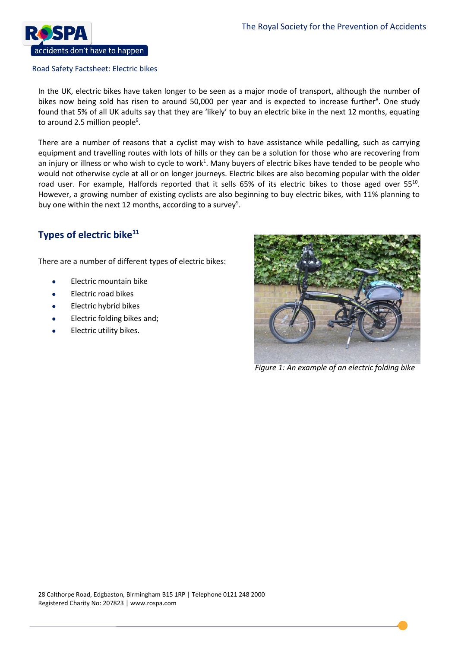

In the UK, electric bikes have taken longer to be seen as a major mode of transport, although the number of bikes now being sold has risen to around 50,000 per year and is expected to increase further<sup>8</sup>. One study found that 5% of all UK adults say that they are 'likely' to buy an electric bike in the next 12 months, equating to around 2.5 million people<sup>9</sup>.

There are a number of reasons that a cyclist may wish to have assistance while pedalling, such as carrying equipment and travelling routes with lots of hills or they can be a solution for those who are recovering from an injury or illness or who wish to cycle to work<sup>1</sup>. Many buyers of electric bikes have tended to be people who would not otherwise cycle at all or on longer journeys. Electric bikes are also becoming popular with the older road user. For example, Halfords reported that it sells 65% of its electric bikes to those aged over 55<sup>10</sup>. However, a growing number of existing cyclists are also beginning to buy electric bikes, with 11% planning to buy one within the next 12 months, according to a survey<sup>9</sup>.

# **Types of electric bike<sup>11</sup>**

There are a number of different types of electric bikes:

- Electric mountain bike
- Electric road bikes
- Electric hybrid bikes
- Electric folding bikes and;
- Electric utility bikes.



*Figure 1: An example of an electric folding bike*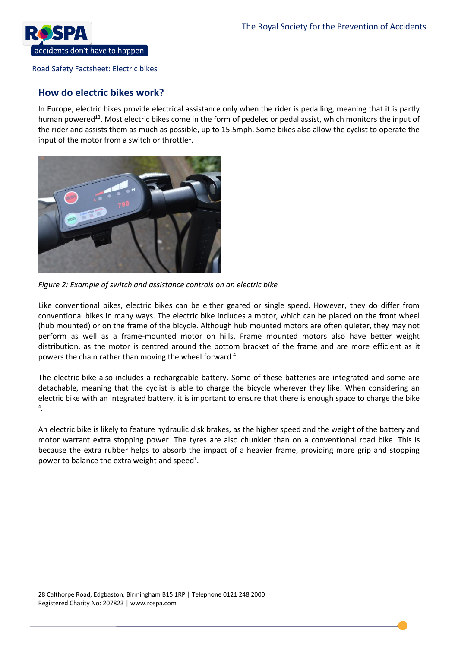

# **How do electric bikes work?**

In Europe, electric bikes provide electrical assistance only when the rider is pedalling, meaning that it is partly human powered<sup>12</sup>. Most electric bikes come in the form of pedelec or pedal assist, which monitors the input of the rider and assists them as much as possible, up to 15.5mph. Some bikes also allow the cyclist to operate the input of the motor from a switch or throttle<sup>1</sup>.



*Figure 2: Example of switch and assistance controls on an electric bike* 

Like conventional bikes, electric bikes can be either geared or single speed. However, they do differ from conventional bikes in many ways. The electric bike includes a motor, which can be placed on the front wheel (hub mounted) or on the frame of the bicycle. Although hub mounted motors are often quieter, they may not perform as well as a frame-mounted motor on hills. Frame mounted motors also have better weight distribution, as the motor is centred around the bottom bracket of the frame and are more efficient as it powers the chain rather than moving the wheel forward  $4$ .

The electric bike also includes a rechargeable battery. Some of these batteries are integrated and some are detachable, meaning that the cyclist is able to charge the bicycle wherever they like. When considering an electric bike with an integrated battery, it is important to ensure that there is enough space to charge the bike 4 .

An electric bike is likely to feature hydraulic disk brakes, as the higher speed and the weight of the battery and motor warrant extra stopping power. The tyres are also chunkier than on a conventional road bike. This is because the extra rubber helps to absorb the impact of a heavier frame, providing more grip and stopping power to balance the extra weight and speed<sup>1</sup>.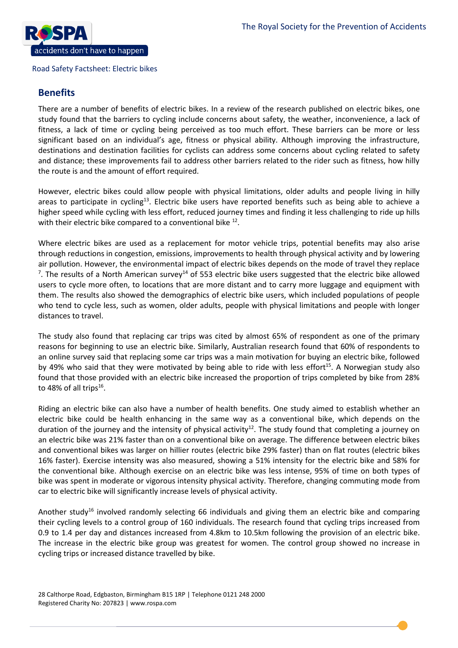

### **Benefits**

There are a number of benefits of electric bikes. In a review of the research published on electric bikes, one study found that the barriers to cycling include concerns about safety, the weather, inconvenience, a lack of fitness, a lack of time or cycling being perceived as too much effort. These barriers can be more or less significant based on an individual's age, fitness or physical ability. Although improving the infrastructure, destinations and destination facilities for cyclists can address some concerns about cycling related to safety and distance; these improvements fail to address other barriers related to the rider such as fitness, how hilly the route is and the amount of effort required.

However, electric bikes could allow people with physical limitations, older adults and people living in hilly areas to participate in cycling<sup>13</sup>. Electric bike users have reported benefits such as being able to achieve a higher speed while cycling with less effort, reduced journey times and finding it less challenging to ride up hills with their electric bike compared to a conventional bike  $^{12}$ .

Where electric bikes are used as a replacement for motor vehicle trips, potential benefits may also arise through reductions in congestion, emissions, improvements to health through physical activity and by lowering air pollution. However, the environmental impact of electric bikes depends on the mode of travel they replace <sup>7</sup>. The results of a North American survey<sup>14</sup> of 553 electric bike users suggested that the electric bike allowed users to cycle more often, to locations that are more distant and to carry more luggage and equipment with them. The results also showed the demographics of electric bike users, which included populations of people who tend to cycle less, such as women, older adults, people with physical limitations and people with longer distances to travel.

The study also found that replacing car trips was cited by almost 65% of respondent as one of the primary reasons for beginning to use an electric bike. Similarly, Australian research found that 60% of respondents to an online survey said that replacing some car trips was a main motivation for buying an electric bike, followed by 49% who said that they were motivated by being able to ride with less effort<sup>15</sup>. A Norwegian study also found that those provided with an electric bike increased the proportion of trips completed by bike from 28% to 48% of all trips $^{16}$ .

Riding an electric bike can also have a number of health benefits. One study aimed to establish whether an electric bike could be health enhancing in the same way as a conventional bike, which depends on the duration of the journey and the intensity of physical activity<sup>12</sup>. The study found that completing a journey on an electric bike was 21% faster than on a conventional bike on average. The difference between electric bikes and conventional bikes was larger on hillier routes (electric bike 29% faster) than on flat routes (electric bikes 16% faster). Exercise intensity was also measured, showing a 51% intensity for the electric bike and 58% for the conventional bike. Although exercise on an electric bike was less intense, 95% of time on both types of bike was spent in moderate or vigorous intensity physical activity. Therefore, changing commuting mode from car to electric bike will significantly increase levels of physical activity.

Another study<sup>16</sup> involved randomly selecting 66 individuals and giving them an electric bike and comparing their cycling levels to a control group of 160 individuals. The research found that cycling trips increased from 0.9 to 1.4 per day and distances increased from 4.8km to 10.5km following the provision of an electric bike. The increase in the electric bike group was greatest for women. The control group showed no increase in cycling trips or increased distance travelled by bike.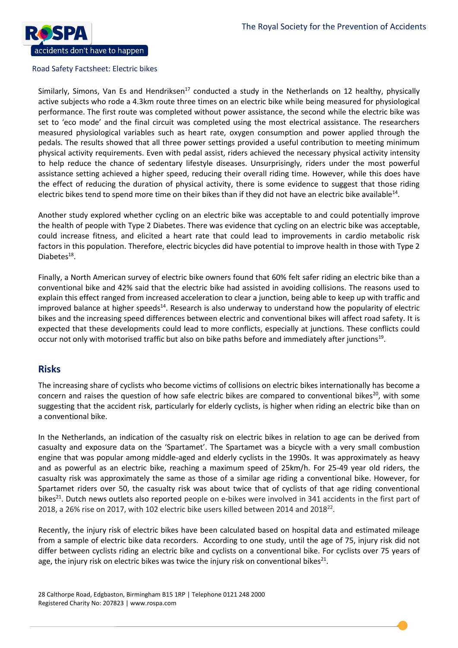

Similarly, Simons, Van Es and Hendriksen<sup>17</sup> conducted a study in the Netherlands on 12 healthy, physically active subjects who rode a 4.3km route three times on an electric bike while being measured for physiological performance. The first route was completed without power assistance, the second while the electric bike was set to 'eco mode' and the final circuit was completed using the most electrical assistance. The researchers measured physiological variables such as heart rate, oxygen consumption and power applied through the pedals. The results showed that all three power settings provided a useful contribution to meeting minimum physical activity requirements. Even with pedal assist, riders achieved the necessary physical activity intensity to help reduce the chance of sedentary lifestyle diseases. Unsurprisingly, riders under the most powerful assistance setting achieved a higher speed, reducing their overall riding time. However, while this does have the effect of reducing the duration of physical activity, there is some evidence to suggest that those riding electric bikes tend to spend more time on their bikes than if they did not have an electric bike available<sup>14</sup>.

Another study explored whether cycling on an electric bike was acceptable to and could potentially improve the health of people with Type 2 Diabetes. There was evidence that cycling on an electric bike was acceptable, could increase fitness, and elicited a heart rate that could lead to improvements in cardio metabolic risk factors in this population. Therefore, electric bicycles did have potential to improve health in those with Type 2 Diabetes<sup>18</sup>.

Finally, a North American survey of electric bike owners found that 60% felt safer riding an electric bike than a conventional bike and 42% said that the electric bike had assisted in avoiding collisions. The reasons used to explain this effect ranged from increased acceleration to clear a junction, being able to keep up with traffic and improved balance at higher speeds<sup>14</sup>. Research is also underway to understand how the popularity of electric bikes and the increasing speed differences between electric and conventional bikes will affect road safety. It is expected that these developments could lead to more conflicts, especially at junctions. These conflicts could occur not only with motorised traffic but also on bike paths before and immediately after junctions<sup>19</sup>.

# **Risks**

The increasing share of cyclists who become victims of collisions on electric bikes internationally has become a concern and raises the question of how safe electric bikes are compared to conventional bikes<sup>20</sup>, with some suggesting that the accident risk, particularly for elderly cyclists, is higher when riding an electric bike than on a conventional bike.

In the Netherlands, an indication of the casualty risk on electric bikes in relation to age can be derived from casualty and exposure data on the 'Spartamet'. The Spartamet was a bicycle with a very small combustion engine that was popular among middle-aged and elderly cyclists in the 1990s. It was approximately as heavy and as powerful as an electric bike, reaching a maximum speed of 25km/h. For 25-49 year old riders, the casualty risk was approximately the same as those of a similar age riding a conventional bike. However, for Spartamet riders over 50, the casualty risk was about twice that of cyclists of that age riding conventional bikes<sup>21</sup>. Dutch news outlets also reported people on e-bikes were involved in 341 accidents in the first part of 2018, a 26% rise on 2017, with 102 electric bike users killed between 2014 and 2018<sup>22</sup>.

Recently, the injury risk of electric bikes have been calculated based on hospital data and estimated mileage from a sample of electric bike data recorders. According to one study, until the age of 75, injury risk did not differ between cyclists riding an electric bike and cyclists on a conventional bike. For cyclists over 75 years of age, the injury risk on electric bikes was twice the injury risk on conventional bikes<sup>21</sup>.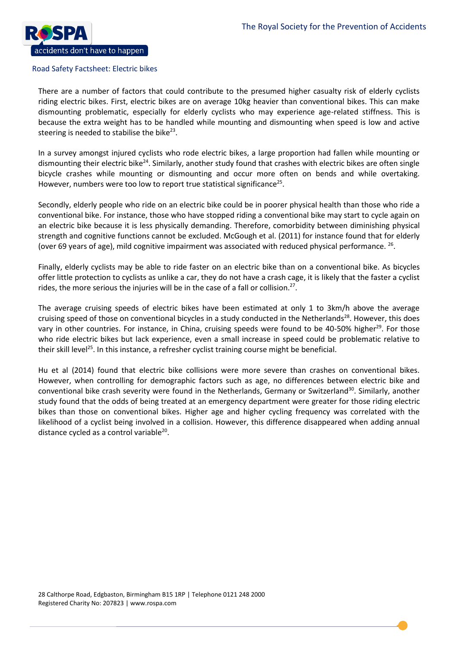

There are a number of factors that could contribute to the presumed higher casualty risk of elderly cyclists riding electric bikes. First, electric bikes are on average 10kg heavier than conventional bikes. This can make dismounting problematic, especially for elderly cyclists who may experience age-related stiffness. This is because the extra weight has to be handled while mounting and dismounting when speed is low and active steering is needed to stabilise the bike<sup>23</sup>.

In a survey amongst injured cyclists who rode electric bikes, a large proportion had fallen while mounting or dismounting their electric bike<sup>24</sup>. Similarly, another study found that crashes with electric bikes are often single bicycle crashes while mounting or dismounting and occur more often on bends and while overtaking. However, numbers were too low to report true statistical significance<sup>25</sup>.

Secondly, elderly people who ride on an electric bike could be in poorer physical health than those who ride a conventional bike. For instance, those who have stopped riding a conventional bike may start to cycle again on an electric bike because it is less physically demanding. Therefore, comorbidity between diminishing physical strength and cognitive functions cannot be excluded. McGough et al. (2011) for instance found that for elderly (over 69 years of age), mild cognitive impairment was associated with reduced physical performance. <sup>26</sup>.

Finally, elderly cyclists may be able to ride faster on an electric bike than on a conventional bike. As bicycles offer little protection to cyclists as unlike a car, they do not have a crash cage, it is likely that the faster a cyclist rides, the more serious the injuries will be in the case of a fall or collision.<sup>27</sup>.

The average cruising speeds of electric bikes have been estimated at only 1 to 3km/h above the average cruising speed of those on conventional bicycles in a study conducted in the Netherlands<sup>28</sup>. However, this does vary in other countries. For instance, in China, cruising speeds were found to be 40-50% higher<sup>29</sup>. For those who ride electric bikes but lack experience, even a small increase in speed could be problematic relative to their skill level<sup>25</sup>. In this instance, a refresher cyclist training course might be beneficial.

Hu et al (2014) found that electric bike collisions were more severe than crashes on conventional bikes. However, when controlling for demographic factors such as age, no differences between electric bike and conventional bike crash severity were found in the Netherlands, Germany or Switzerland<sup>30</sup>. Similarly, another study found that the odds of being treated at an emergency department were greater for those riding electric bikes than those on conventional bikes. Higher age and higher cycling frequency was correlated with the likelihood of a cyclist being involved in a collision. However, this difference disappeared when adding annual distance cycled as a control variable<sup>20</sup>.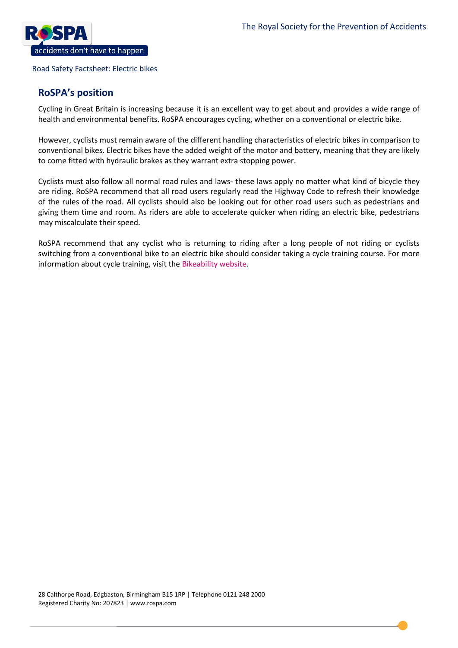

## **RoSPA's position**

Cycling in Great Britain is increasing because it is an excellent way to get about and provides a wide range of health and environmental benefits. RoSPA encourages cycling, whether on a conventional or electric bike.

However, cyclists must remain aware of the different handling characteristics of electric bikes in comparison to conventional bikes. Electric bikes have the added weight of the motor and battery, meaning that they are likely to come fitted with hydraulic brakes as they warrant extra stopping power.

Cyclists must also follow all normal road rules and laws- these laws apply no matter what kind of bicycle they are riding. RoSPA recommend that all road users regularly read the Highway Code to refresh their knowledge of the rules of the road. All cyclists should also be looking out for other road users such as pedestrians and giving them time and room. As riders are able to accelerate quicker when riding an electric bike, pedestrians may miscalculate their speed.

RoSPA recommend that any cyclist who is returning to riding after a long people of not riding or cyclists switching from a conventional bike to an electric bike should consider taking a cycle training course. For more information about cycle training, visit the **Bikeability website**.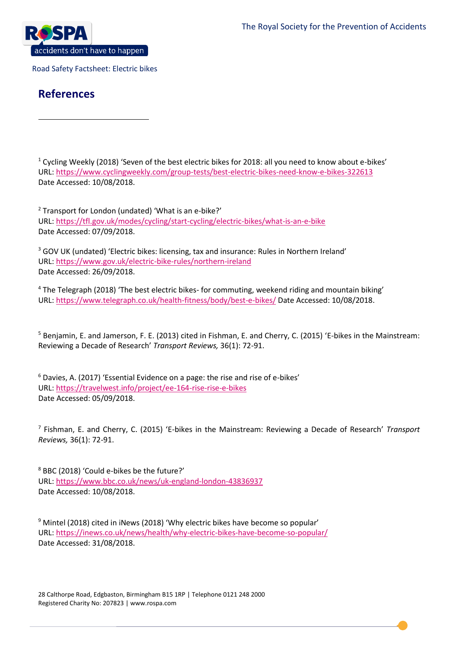

# **References**

 $\overline{a}$ 

<sup>1</sup> Cycling Weekly (2018) 'Seven of the best electric bikes for 2018: all you need to know about e-bikes' URL[: https://www.cyclingweekly.com/group-tests/best-electric-bikes-need-know-e-bikes-322613](https://www.cyclingweekly.com/group-tests/best-electric-bikes-need-know-e-bikes-322613) Date Accessed: 10/08/2018.

<sup>2</sup> Transport for London (undated) 'What is an e-bike?' URL[: https://tfl.gov.uk/modes/cycling/start-cycling/electric-bikes/what-is-an-e-bike](https://tfl.gov.uk/modes/cycling/start-cycling/electric-bikes/what-is-an-e-bike) Date Accessed: 07/09/2018.

<sup>3</sup> GOV UK (undated) 'Electric bikes: licensing, tax and insurance: Rules in Northern Ireland' URL[: https://www.gov.uk/electric-bike-rules/northern-ireland](https://www.gov.uk/electric-bike-rules/northern-ireland) Date Accessed: 26/09/2018.

<sup>4</sup> The Telegraph (2018) 'The best electric bikes- for commuting, weekend riding and mountain biking' URL[: https://www.telegraph.co.uk/health-fitness/body/best-e-bikes/](https://www.telegraph.co.uk/health-fitness/body/best-e-bikes/) Date Accessed: 10/08/2018.

<sup>5</sup> Benjamin, E. and Jamerson, F. E. (2013) cited in Fishman, E. and Cherry, C. (2015) 'E-bikes in the Mainstream: Reviewing a Decade of Research' *Transport Reviews,* 36(1): 72-91.

<sup>6</sup> Davies, A. (2017) 'Essential Evidence on a page: the rise and rise of e-bikes' URL[: https://travelwest.info/project/ee-164-rise-rise-e-bikes](https://travelwest.info/project/ee-164-rise-rise-e-bikes) Date Accessed: 05/09/2018.

7 Fishman, E. and Cherry, C. (2015) 'E-bikes in the Mainstream: Reviewing a Decade of Research' *Transport Reviews,* 36(1): 72-91.

<sup>8</sup> BBC (2018) 'Could e-bikes be the future?' URL[: https://www.bbc.co.uk/news/uk-england-london-43836937](https://www.bbc.co.uk/news/uk-england-london-43836937) Date Accessed: 10/08/2018.

<sup>9</sup> Mintel (2018) cited in iNews (2018) 'Why electric bikes have become so popular' URL[: https://inews.co.uk/news/health/why-electric-bikes-have-become-so-popular/](https://inews.co.uk/news/health/why-electric-bikes-have-become-so-popular/) Date Accessed: 31/08/2018.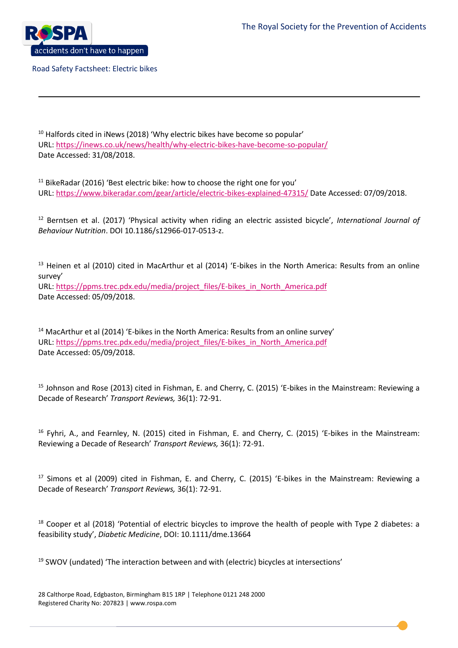

 $\ddot{\phantom{a}}$ 

Road Safety Factsheet: Electric bikes

 $10$  Halfords cited in iNews (2018) 'Why electric bikes have become so popular' URL[: https://inews.co.uk/news/health/why-electric-bikes-have-become-so-popular/](https://inews.co.uk/news/health/why-electric-bikes-have-become-so-popular/) Date Accessed: 31/08/2018.

 $11$  BikeRadar (2016) 'Best electric bike: how to choose the right one for you' URL[: https://www.bikeradar.com/gear/article/electric-bikes-explained-47315/](https://www.bikeradar.com/gear/article/electric-bikes-explained-47315/) Date Accessed: 07/09/2018.

<sup>12</sup> Berntsen et al. (2017) 'Physical activity when riding an electric assisted bicycle', *International Journal of Behaviour Nutrition*. DOI 10.1186/s12966-017-0513-z.

<sup>13</sup> Heinen et al (2010) cited in MacArthur et al (2014) 'E-bikes in the North America: Results from an online survey' URL[: https://ppms.trec.pdx.edu/media/project\\_files/E-bikes\\_in\\_North\\_America.pdf](https://ppms.trec.pdx.edu/media/project_files/E-bikes_in_North_America.pdf) Date Accessed: 05/09/2018.

<sup>14</sup> MacArthur et al (2014) 'E-bikes in the North America: Results from an online survey' URL[: https://ppms.trec.pdx.edu/media/project\\_files/E-bikes\\_in\\_North\\_America.pdf](https://ppms.trec.pdx.edu/media/project_files/E-bikes_in_North_America.pdf) Date Accessed: 05/09/2018.

<sup>15</sup> Johnson and Rose (2013) cited in Fishman, E. and Cherry, C. (2015) 'E-bikes in the Mainstream: Reviewing a Decade of Research' *Transport Reviews,* 36(1): 72-91.

<sup>16</sup> Fyhri, A., and Fearnley, N. (2015) cited in Fishman, E. and Cherry, C. (2015) 'E-bikes in the Mainstream: Reviewing a Decade of Research' *Transport Reviews,* 36(1): 72-91.

<sup>17</sup> Simons et al (2009) cited in Fishman, E. and Cherry, C. (2015) 'E-bikes in the Mainstream: Reviewing a Decade of Research' *Transport Reviews,* 36(1): 72-91.

<sup>18</sup> Cooper et al (2018) 'Potential of electric bicycles to improve the health of people with Type 2 diabetes: a feasibility study', *Diabetic Medicine*, DOI: 10.1111/dme.13664

 $19$  SWOV (undated) 'The interaction between and with (electric) bicycles at intersections'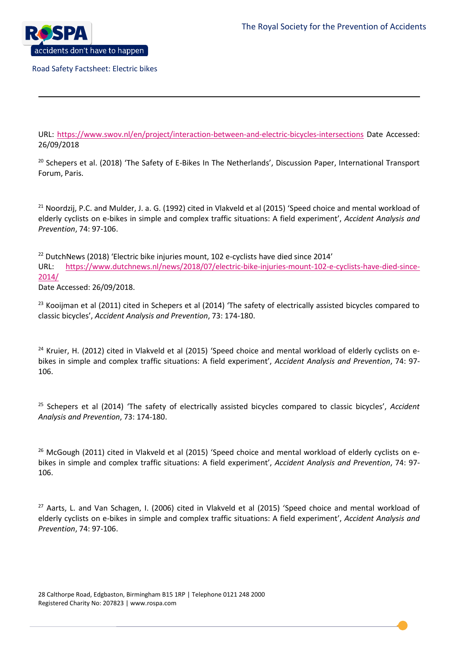$\ddot{\phantom{a}}$ 

Road Safety Factsheet: Electric bikes

URL:<https://www.swov.nl/en/project/interaction-between-and-electric-bicycles-intersections> Date Accessed: 26/09/2018

<sup>20</sup> Schepers et al. (2018) 'The Safety of E-Bikes In The Netherlands', Discussion Paper, International Transport Forum, Paris.

<sup>21</sup> Noordzij, P.C. and Mulder, J. a. G. (1992) cited in Vlakveld et al (2015) 'Speed choice and mental workload of elderly cyclists on e-bikes in simple and complex traffic situations: A field experiment', *Accident Analysis and Prevention*, 74: 97-106.

<sup>22</sup> DutchNews (2018) 'Electric bike injuries mount, 102 e-cyclists have died since 2014' URL: [https://www.dutchnews.nl/news/2018/07/electric-bike-injuries-mount-102-e-cyclists-have-died-since-](https://www.dutchnews.nl/news/2018/07/electric-bike-injuries-mount-102-e-cyclists-have-died-since-2014/)[2014/](https://www.dutchnews.nl/news/2018/07/electric-bike-injuries-mount-102-e-cyclists-have-died-since-2014/)

Date Accessed: 26/09/2018.

<sup>23</sup> Kooijman et al (2011) cited in Schepers et al (2014) 'The safety of electrically assisted bicycles compared to classic bicycles', *Accident Analysis and Prevention*, 73: 174-180.

<sup>24</sup> Kruier, H. (2012) cited in Vlakveld et al (2015) 'Speed choice and mental workload of elderly cyclists on ebikes in simple and complex traffic situations: A field experiment', *Accident Analysis and Prevention*, 74: 97- 106.

<sup>25</sup> Schepers et al (2014) 'The safety of electrically assisted bicycles compared to classic bicycles', *Accident Analysis and Prevention*, 73: 174-180.

<sup>26</sup> McGough (2011) cited in Vlakveld et al (2015) 'Speed choice and mental workload of elderly cyclists on ebikes in simple and complex traffic situations: A field experiment', *Accident Analysis and Prevention*, 74: 97- 106.

<sup>27</sup> Aarts, L. and Van Schagen, I. (2006) cited in Vlakveld et al (2015) 'Speed choice and mental workload of elderly cyclists on e-bikes in simple and complex traffic situations: A field experiment', *Accident Analysis and Prevention*, 74: 97-106.